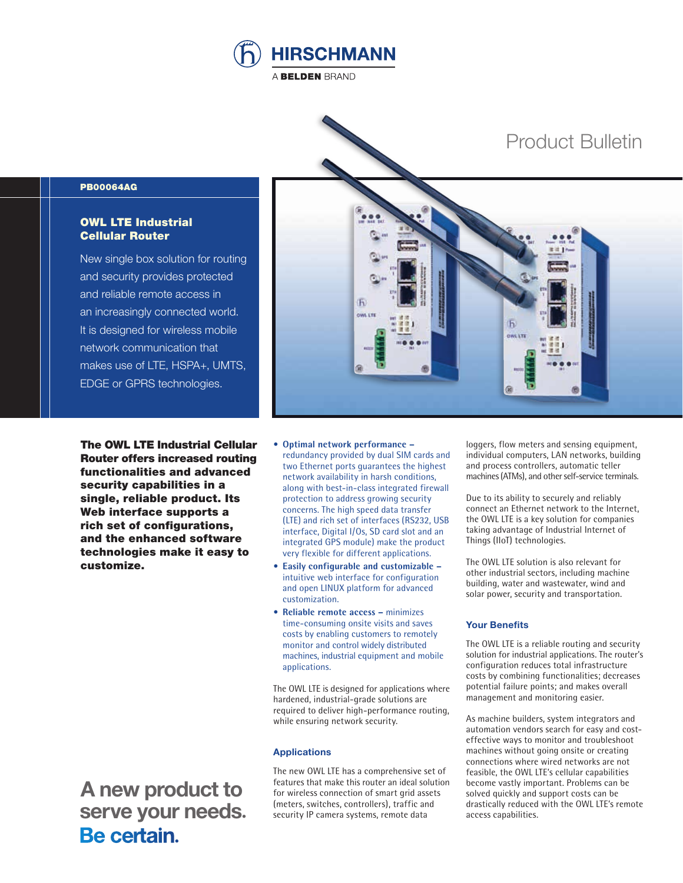



## PB00064AG

## OWL LTE Industrial Cellular Router

New single box solution for routing and security provides protected and reliable remote access in an increasingly connected world. It is designed for wireless mobile network communication that makes use of LTE, HSPA+, UMTS, EDGE or GPRS technologies.

The OWL LTE Industrial Cellular Router offers increased routing functionalities and advanced security capabilities in a single, reliable product. Its Web interface supports a rich set of configurations, and the enhanced software technologies make it easy to customize.

 **A new product to serve your needs.**<br>**Be certain**.

- **Optimal network performance –** redundancy provided by dual SIM cards and two Ethernet ports guarantees the highest network availability in harsh conditions, along with best-in-class integrated firewall protection to address growing security concerns. The high speed data transfer (LTE) and rich set of interfaces (RS232, USB interface, Digital I/Os, SD card slot and an integrated GPS module) make the product very flexible for different applications.
- **Easily configurable and customizable –** intuitive web interface for configuration and open LINUX platform for advanced customization.
- **Reliable remote access –** minimizes time-consuming onsite visits and saves costs by enabling customers to remotely monitor and control widely distributed machines, industrial equipment and mobile applications.

The OWL LTE is designed for applications where hardened, industrial-grade solutions are required to deliver high-performance routing, while ensuring network security.

### **Applications**

The new OWL LTE has a comprehensive set of features that make this router an ideal solution for wireless connection of smart grid assets (meters, switches, controllers), traffic and security IP camera systems, remote data

loggers, flow meters and sensing equipment, individual computers, LAN networks, building and process controllers, automatic teller machines (ATMs), and other self-service terminals.

Due to its ability to securely and reliably connect an Ethernet network to the Internet, the OWL LTE is a key solution for companies taking advantage of Industrial Internet of Things (IIoT) technologies.

The OWL LTE solution is also relevant for other industrial sectors, including machine building, water and wastewater, wind and solar power, security and transportation.

#### **Your Benefits**

The OWL LTE is a reliable routing and security solution for industrial applications. The router's configuration reduces total infrastructure costs by combining functionalities; decreases potential failure points; and makes overall management and monitoring easier.

As machine builders, system integrators and automation vendors search for easy and costeffective ways to monitor and troubleshoot machines without going onsite or creating connections where wired networks are not feasible, the OWL LTE's cellular capabilities become vastly important. Problems can be solved quickly and support costs can be drastically reduced with the OWL LTE's remote access capabilities.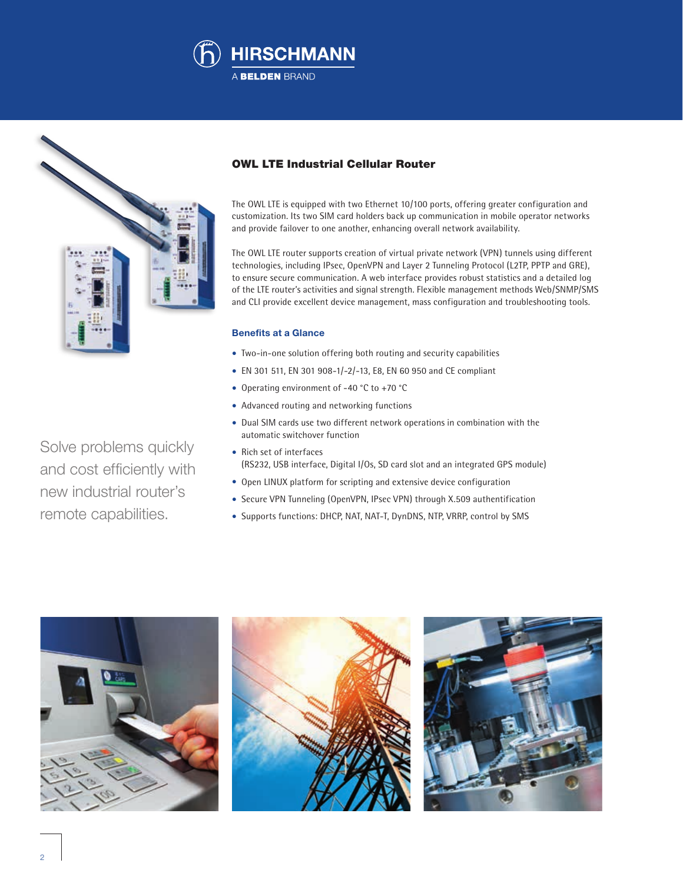



Solve problems quickly and cost efficiently with new industrial router's remote capabilities.

# OWL LTE Industrial Cellular Router

The OWL LTE is equipped with two Ethernet 10/100 ports, offering greater configuration and customization. Its two SIM card holders back up communication in mobile operator networks and provide failover to one another, enhancing overall network availability.

The OWL LTE router supports creation of virtual private network (VPN) tunnels using different technologies, including IPsec, OpenVPN and Layer 2 Tunneling Protocol (L2TP, PPTP and GRE), to ensure secure communication. A web interface provides robust statistics and a detailed log of the LTE router's activities and signal strength. Flexible management methods Web/SNMP/SMS and CLI provide excellent device management, mass configuration and troubleshooting tools.

### **Benefits at a Glance**

- Two-in-one solution offering both routing and security capabilities
- EN 301 511, EN 301 908-1/-2/-13, E8, EN 60 950 and CE compliant
- Operating environment of -40 °C to +70 °C
- Advanced routing and networking functions
- Dual SIM cards use two different network operations in combination with the automatic switchover function
- Rich set of interfaces (RS232, USB interface, Digital I/Os, SD card slot and an integrated GPS module)
- Open LINUX platform for scripting and extensive device configuration
- Secure VPN Tunneling (OpenVPN, IPsec VPN) through X.509 authentification
- Supports functions: DHCP, NAT, NAT-T, DynDNS, NTP, VRRP, control by SMS





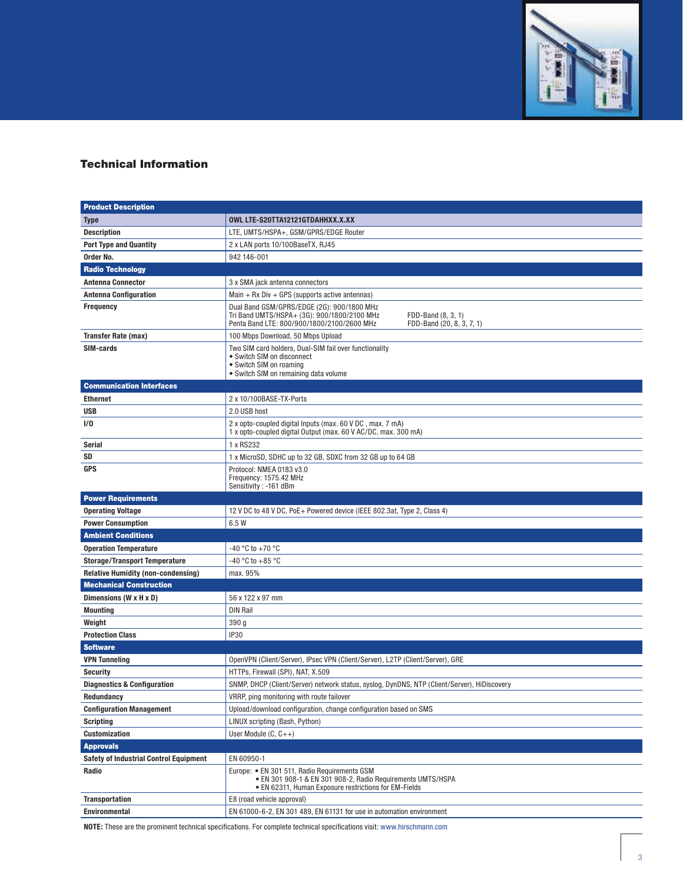

# Technical Information

| <b>Product Description</b>                    |                                                                                                                                                                                            |
|-----------------------------------------------|--------------------------------------------------------------------------------------------------------------------------------------------------------------------------------------------|
| <b>Type</b>                                   | OWL LTE-S20TTA12121GTDAHHXX.X.XX                                                                                                                                                           |
| <b>Description</b>                            | LTE, UMTS/HSPA+, GSM/GPRS/EDGE Router                                                                                                                                                      |
| <b>Port Type and Quantity</b>                 | 2 x LAN ports 10/100BaseTX, RJ45                                                                                                                                                           |
| Order No.                                     | 942 146-001                                                                                                                                                                                |
| <b>Radio Technology</b>                       |                                                                                                                                                                                            |
| <b>Antenna Connector</b>                      | 3 x SMA jack antenna connectors                                                                                                                                                            |
| <b>Antenna Configuration</b>                  | Main + $Rx$ Div + GPS (supports active antennas)                                                                                                                                           |
| <b>Frequency</b>                              | Dual Band GSM/GPRS/EDGE (2G): 900/1800 MHz<br>Tri Band UMTS/HSPA+ (3G): 900/1800/2100 MHz<br>FDD-Band (8, 3, 1)<br>Penta Band LTE: 800/900/1800/2100/2600 MHz<br>FDD-Band (20, 8, 3, 7, 1) |
| <b>Transfer Rate (max)</b>                    | 100 Mbps Download, 50 Mbps Upload                                                                                                                                                          |
| SIM-cards                                     | Two SIM card holders, Dual-SIM fail over functionality<br>· Switch SIM on disconnect<br>• Switch SIM on roaming<br>• Switch SIM on remaining data volume                                   |
| <b>Communication Interfaces</b>               |                                                                                                                                                                                            |
| <b>Ethernet</b>                               | 2 x 10/100BASE-TX-Ports                                                                                                                                                                    |
| <b>USB</b>                                    | 2.0 USB host                                                                                                                                                                               |
| 1/0                                           | 2 x opto-coupled digital Inputs (max. 60 V DC, max. 7 mA)<br>1 x opto-coupled digital Output (max. 60 V AC/DC, max. 300 mA)                                                                |
| <b>Serial</b>                                 | 1 x RS232                                                                                                                                                                                  |
| SD                                            | 1 x MicroSD, SDHC up to 32 GB, SDXC from 32 GB up to 64 GB                                                                                                                                 |
| <b>GPS</b>                                    | Protocol: NMEA 0183 v3.0<br>Frequency: 1575.42 MHz<br>Sensitivity: -161 dBm                                                                                                                |
| <b>Power Requirements</b>                     |                                                                                                                                                                                            |
| <b>Operating Voltage</b>                      | 12 V DC to 48 V DC, PoE+ Powered device (IEEE 802.3at, Type 2, Class 4)                                                                                                                    |
| <b>Power Consumption</b>                      | 6.5W                                                                                                                                                                                       |
| <b>Ambient Conditions</b>                     |                                                                                                                                                                                            |
| <b>Operation Temperature</b>                  | -40 °C to +70 °C                                                                                                                                                                           |
| <b>Storage/Transport Temperature</b>          | -40 °C to +85 °C                                                                                                                                                                           |
| <b>Relative Humidity (non-condensing)</b>     | max. 95%                                                                                                                                                                                   |
| <b>Mechanical Construction</b>                |                                                                                                                                                                                            |
| Dimensions (W x H x D)                        | 56 x 122 x 97 mm                                                                                                                                                                           |
| <b>Mounting</b>                               | <b>DIN Rail</b>                                                                                                                                                                            |
| Weight                                        | 390 g                                                                                                                                                                                      |
| <b>Protection Class</b>                       | IP30                                                                                                                                                                                       |
| <b>Software</b>                               |                                                                                                                                                                                            |
| <b>VPN Tunneling</b>                          | OpenVPN (Client/Server), IPsec VPN (Client/Server), L2TP (Client/Server), GRE                                                                                                              |
| <b>Security</b>                               | HTTPs, Firewall (SPI), NAT, X.509                                                                                                                                                          |
| <b>Diagnostics &amp; Configuration</b>        | SNMP, DHCP (Client/Server) network status, syslog, DynDNS, NTP (Client/Server), HiDiscovery                                                                                                |
| Redundancy                                    | VRRP, ping monitoring with route failover                                                                                                                                                  |
| <b>Configuration Management</b>               | Upload/download configuration, change configuration based on SMS                                                                                                                           |
| <b>Scripting</b>                              | LINUX scripting (Bash, Python)                                                                                                                                                             |
| Customization                                 | User Module $(C, C++)$                                                                                                                                                                     |
| <b>Approvals</b>                              |                                                                                                                                                                                            |
| <b>Safety of Industrial Control Equipment</b> | EN 60950-1                                                                                                                                                                                 |
| Radio                                         | Europe: • EN 301 511, Radio Requirements GSM<br>· EN 301 908-1 & EN 301 908-2, Radio Requirements UMTS/HSPA<br>• EN 62311, Human Exposure restrictions for EM-Fields                       |
| <b>Transportation</b>                         | E8 (road vehicle approval)                                                                                                                                                                 |
| <b>Environmental</b>                          | EN 61000-6-2, EN 301 489, EN 61131 for use in automation environment                                                                                                                       |
|                                               |                                                                                                                                                                                            |

**NOTE:** These are the prominent technical specifications. For complete technical specifications visit: www.hirschmann.com